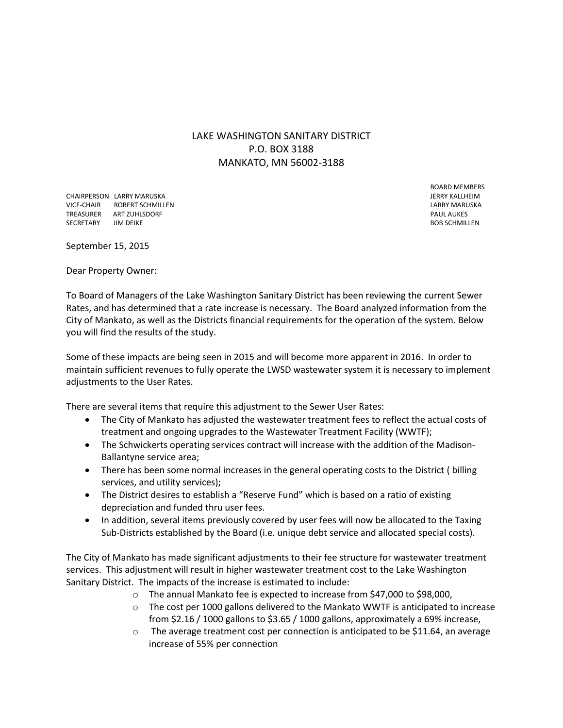LAKE WASHINGTON SANITARY DISTRICT P.O. BOX 3188 MANKATO, MN 56002-3188

CHAIRPERSON LARRY MARUSKA JERRY KALLHEIM VICE-CHAIR ROBERT SCHMILLEN LARRY MARUSKA TREASURER ART ZUHLSDORF PAUL AUKES SECRETARY JIM DEIKE EXAMPLENT SECRETARY SECRETARY SECRETARY SUBSISCHIMILLEN

BOARD MEMBERS

September 15, 2015

Dear Property Owner:

To Board of Managers of the Lake Washington Sanitary District has been reviewing the current Sewer Rates, and has determined that a rate increase is necessary. The Board analyzed information from the City of Mankato, as well as the Districts financial requirements for the operation of the system. Below you will find the results of the study.

Some of these impacts are being seen in 2015 and will become more apparent in 2016. In order to maintain sufficient revenues to fully operate the LWSD wastewater system it is necessary to implement adjustments to the User Rates.

There are several items that require this adjustment to the Sewer User Rates:

- The City of Mankato has adjusted the wastewater treatment fees to reflect the actual costs of treatment and ongoing upgrades to the Wastewater Treatment Facility (WWTF);
- The Schwickerts operating services contract will increase with the addition of the Madison-Ballantyne service area;
- There has been some normal increases in the general operating costs to the District ( billing services, and utility services);
- The District desires to establish a "Reserve Fund" which is based on a ratio of existing depreciation and funded thru user fees.
- In addition, several items previously covered by user fees will now be allocated to the Taxing Sub-Districts established by the Board (i.e. unique debt service and allocated special costs).

The City of Mankato has made significant adjustments to their fee structure for wastewater treatment services. This adjustment will result in higher wastewater treatment cost to the Lake Washington Sanitary District. The impacts of the increase is estimated to include:

- o The annual Mankato fee is expected to increase from \$47,000 to \$98,000,
- o The cost per 1000 gallons delivered to the Mankato WWTF is anticipated to increase from \$2.16 / 1000 gallons to \$3.65 / 1000 gallons, approximately a 69% increase,
- $\circ$  The average treatment cost per connection is anticipated to be \$11.64, an average increase of 55% per connection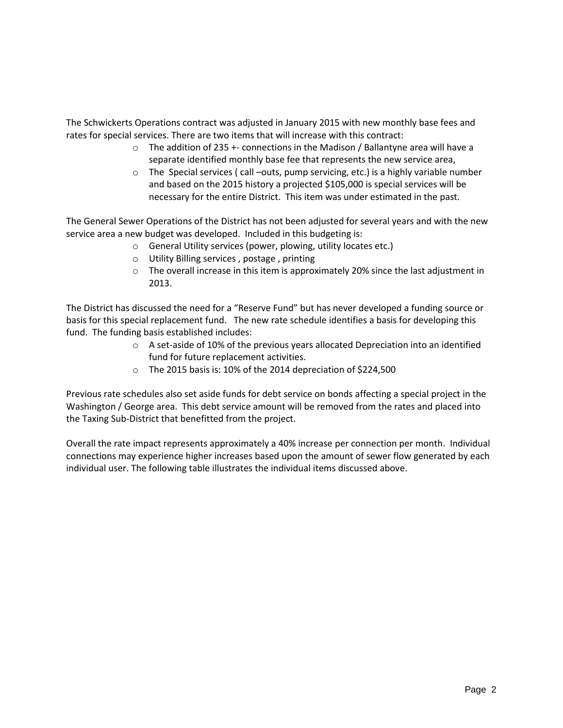The Schwickerts Operations contract was adjusted in January 2015 with new monthly base fees and rates for special services. There are two items that will increase with this contract:

- o The addition of 235 +- connections in the Madison / Ballantyne area will have a separate identified monthly base fee that represents the new service area,
- $\circ$  The Special services ( call –outs, pump servicing, etc.) is a highly variable number and based on the 2015 history a projected \$105,000 is special services will be necessary for the entire District. This item was under estimated in the past.

The General Sewer Operations of the District has not been adjusted for several years and with the new service area a new budget was developed. Included in this budgeting is:

- o General Utility services (power, plowing, utility locates etc.)
- o Utility Billing services , postage , printing
- o The overall increase in this item is approximately 20% since the last adjustment in 2013.

The District has discussed the need for a "Reserve Fund" but has never developed a funding source or basis for this special replacement fund. The new rate schedule identifies a basis for developing this fund. The funding basis established includes:

- o A set-aside of 10% of the previous years allocated Depreciation into an identified fund for future replacement activities.
- o The 2015 basis is: 10% of the 2014 depreciation of \$224,500

Previous rate schedules also set aside funds for debt service on bonds affecting a special project in the Washington / George area. This debt service amount will be removed from the rates and placed into the Taxing Sub-District that benefitted from the project.

Overall the rate impact represents approximately a 40% increase per connection per month. Individual connections may experience higher increases based upon the amount of sewer flow generated by each individual user. The following table illustrates the individual items discussed above.